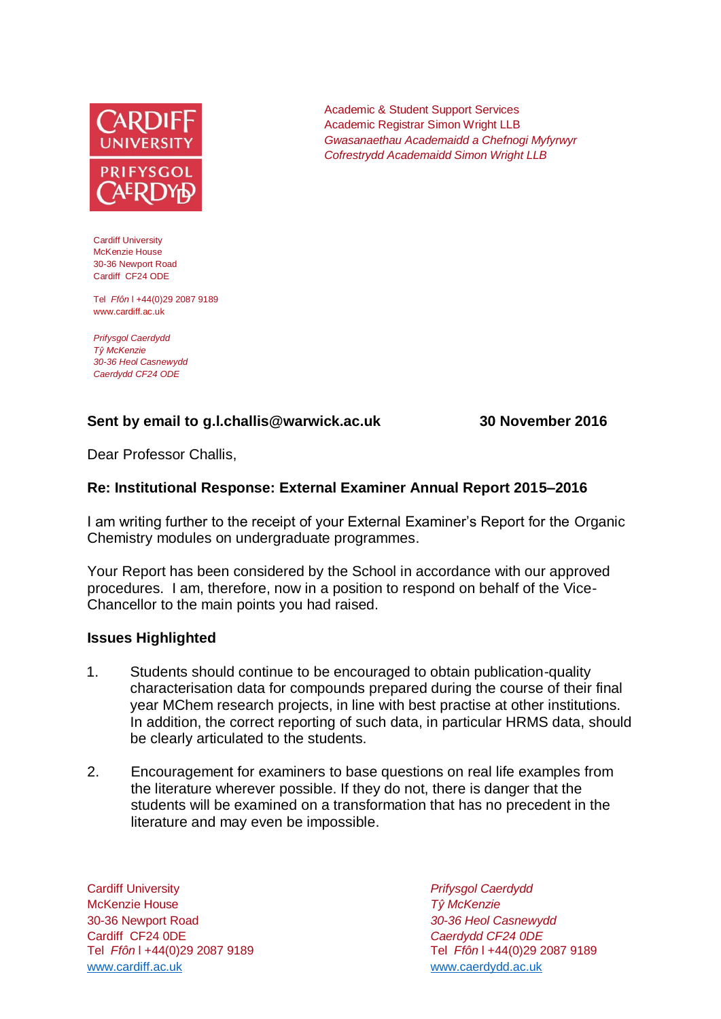

Cardiff University McKenzie House 30-36 Newport Road Cardiff CF24 ODE

Tel *Ffôn* l +44(0)29 2087 9189 www.cardiff.ac.uk

*Prifysgol Caerdydd Tŷ McKenzie 30-36 Heol Casnewydd Caerdydd CF24 ODE*

## **Sent by email to g.l.challis@warwick.ac.uk 30 November 2016**

Dear Professor Challis,

## **Re: Institutional Response: External Examiner Annual Report 2015–2016**

I am writing further to the receipt of your External Examiner's Report for the Organic Chemistry modules on undergraduate programmes.

Your Report has been considered by the School in accordance with our approved procedures. I am, therefore, now in a position to respond on behalf of the Vice-Chancellor to the main points you had raised.

#### **Issues Highlighted**

- 1. Students should continue to be encouraged to obtain publication-quality characterisation data for compounds prepared during the course of their final year MChem research projects, in line with best practise at other institutions. In addition, the correct reporting of such data, in particular HRMS data, should be clearly articulated to the students.
- 2. Encouragement for examiners to base questions on real life examples from the literature wherever possible. If they do not, there is danger that the students will be examined on a transformation that has no precedent in the literature and may even be impossible.

Cardiff University *Prifysgol Caerdydd* McKenzie House *Tŷ McKenzie* 30-36 Newport Road *30-36 Heol Casnewydd* Cardiff CF24 0DE *Caerdydd CF24 0DE* [www.cardiff.ac.uk](http://www.cardiff.ac.uk/) www.cardiff.ac.uk

Tel *Ffôn* l +44(0)29 2087 9189 Tel *Ffôn* l +44(0)29 2087 9189

Academic & Student Support Services Academic Registrar Simon Wright LLB *Gwasanaethau Academaidd a Chefnogi Myfyrwyr Cofrestrydd Academaidd Simon Wright LLB*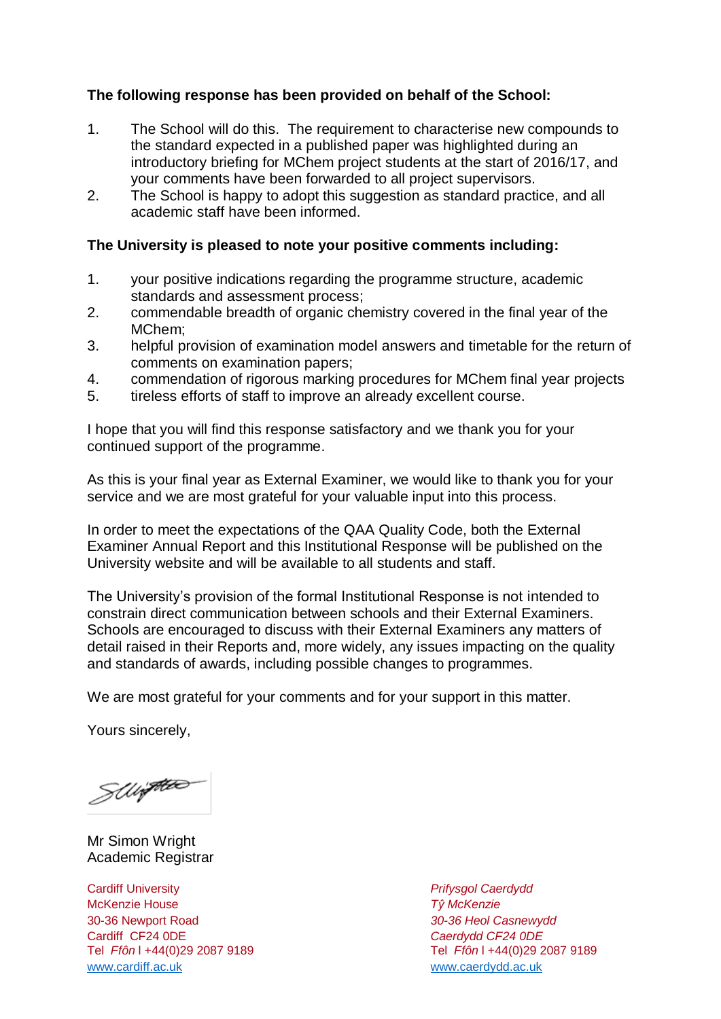# **The following response has been provided on behalf of the School:**

- 1. The School will do this. The requirement to characterise new compounds to the standard expected in a published paper was highlighted during an introductory briefing for MChem project students at the start of 2016/17, and your comments have been forwarded to all project supervisors.
- 2. The School is happy to adopt this suggestion as standard practice, and all academic staff have been informed.

## **The University is pleased to note your positive comments including:**

- 1. your positive indications regarding the programme structure, academic standards and assessment process;
- 2. commendable breadth of organic chemistry covered in the final year of the MChem;
- 3. helpful provision of examination model answers and timetable for the return of comments on examination papers;
- 4. commendation of rigorous marking procedures for MChem final year projects
- 5. tireless efforts of staff to improve an already excellent course.

I hope that you will find this response satisfactory and we thank you for your continued support of the programme.

As this is your final year as External Examiner, we would like to thank you for your service and we are most grateful for your valuable input into this process.

In order to meet the expectations of the QAA Quality Code, both the External Examiner Annual Report and this Institutional Response will be published on the University website and will be available to all students and staff.

The University's provision of the formal Institutional Response is not intended to constrain direct communication between schools and their External Examiners. Schools are encouraged to discuss with their External Examiners any matters of detail raised in their Reports and, more widely, any issues impacting on the quality and standards of awards, including possible changes to programmes.

We are most grateful for your comments and for your support in this matter.

Yours sincerely,

SWiften

Mr Simon Wright Academic Registrar

Cardiff University *Prifysgol Caerdydd* McKenzie House *Tŷ McKenzie* 30-36 Newport Road *30-36 Heol Casnewydd* Tel *Ffôn* l +44(0)29 2087 9189 Tel *Ffôn* l +44(0)29 2087 9189 [www.cardiff.ac.uk](http://www.cardiff.ac.uk/) [www.caerdydd.ac.uk](http://www.caerdydd.ac.uk/)

Cardiff CF24 0DE *Caerdydd CF24 0DE*